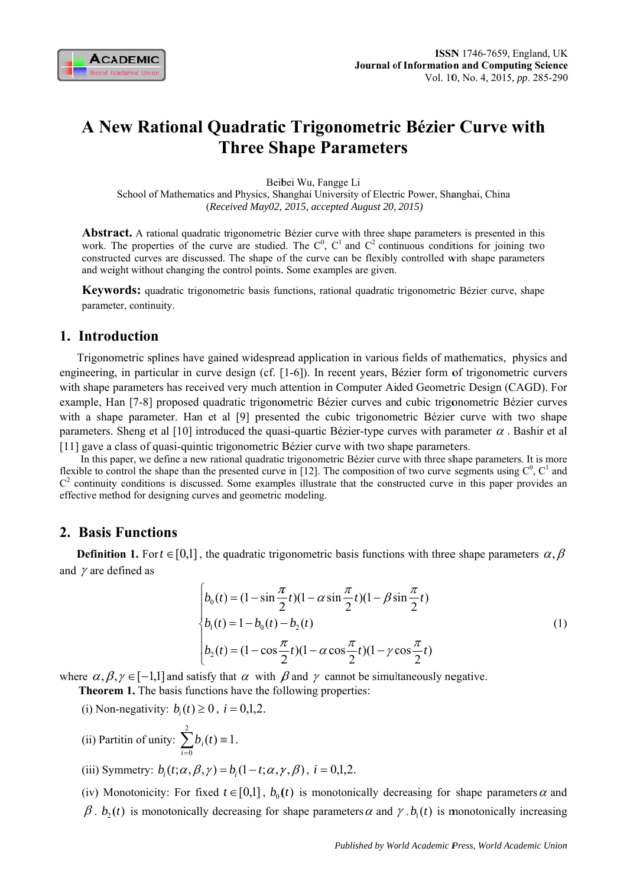

# A New Rational Quadratic Trigonometric Bézier Curve with **Three Shape Parameters**

Beibei Wu, Fangge Li

School of Mathematics and Physics, Shanghai University of Electric Power, Shanghai, China (Received May02, 2015, accepted August 20, 2015)

**Abstract.** A rational quadratic trigonometric Bézier curve with three shape parameters is presented in this work. The properties of the curve are studied. The  $C^0$ ,  $C^1$  and  $C^2$  continuous conditions for joining two constructed curves are discussed. The shape of the curve can be flexibly controlled with shape parameters and weight without changing the control points. Some examples are given.

**Keywords:** quadratic trigonometric basis functions, rational quadratic trigonometric Bézier curve, shape parameter, continuity.

#### 1. Introduction

Trigonometric splines have gained widespread application in various fields of mathematics, physics and engineering, in particular in curve design (cf. [1-6]). In recent years, Bézier form of trigonometric curvers with shape parameters has received very much attention in Computer Aided Geometric Design (CAGD). For example, Han [7-8] proposed quadratic trigonometric Bézier curves and cubic trigonometric Bézier curves with a shape parameter. Han et al [9] presented the cubic trigonometric Bézier curve with two shape parameters. Sheng et al [10] introduced the quasi-quartic Bézier-type curves with parameter  $\alpha$ . Bashir et al [11] gave a class of quasi-quintic trigonometric Bézier curve with two shape parameters.

In this paper, we define a new rational quadratic trigonometric Bézier curve with three shape parameters. It is more flexible to control the shape than the presented curve in [12]. The composition of two curve segments using  $C^0$ ,  $C^1$  and  $C<sup>2</sup>$  continuity conditions is discussed. Some examples illustrate that the constructed curve in this paper provides an effective method for designing curves and geometric modeling.

#### 2. Basis Functions

**Definition 1.** For  $t \in [0,1]$ , the quadratic trigonometric basis functions with three shape parameters  $\alpha, \beta$ and  $\gamma$  are defined as

$$
\begin{cases}\nb_0(t) = (1 - \sin\frac{\pi}{2}t)(1 - \alpha\sin\frac{\pi}{2}t)(1 - \beta\sin\frac{\pi}{2}t) \\
b_1(t) = 1 - b_0(t) - b_2(t) \\
b_2(t) = (1 - \cos\frac{\pi}{2}t)(1 - \alpha\cos\frac{\pi}{2}t)(1 - \gamma\cos\frac{\pi}{2}t)\n\end{cases}
$$
\n(1)

where  $\alpha, \beta, \gamma \in [-1,1]$  and satisfy that  $\alpha$  with  $\beta$  and  $\gamma$  cannot be simultaneously negative.

**Theorem 1.** The basis functions have the following properties:

- (i) Non-negativity:  $b_i(t) \ge 0$ ,  $i = 0,1,2$ .
- (ii) Partitin of unity:  $\sum_{i=1}^{2} b_i(t) \equiv 1$ .
- (iii) Symmetry:  $b_i(t; \alpha, \beta, \gamma) = b_i(1-t; \alpha, \gamma, \beta), i = 0,1,2.$

(iv) Monotonicity: For fixed  $t \in [0,1]$ ,  $b_0(t)$  is monotonically decreasing for shape parameters  $\alpha$  and

 $\beta$ .  $b_2(t)$  is monotonically decreasing for shape parameters  $\alpha$  and  $\gamma$ .  $b_1(t)$  is monotonically increasing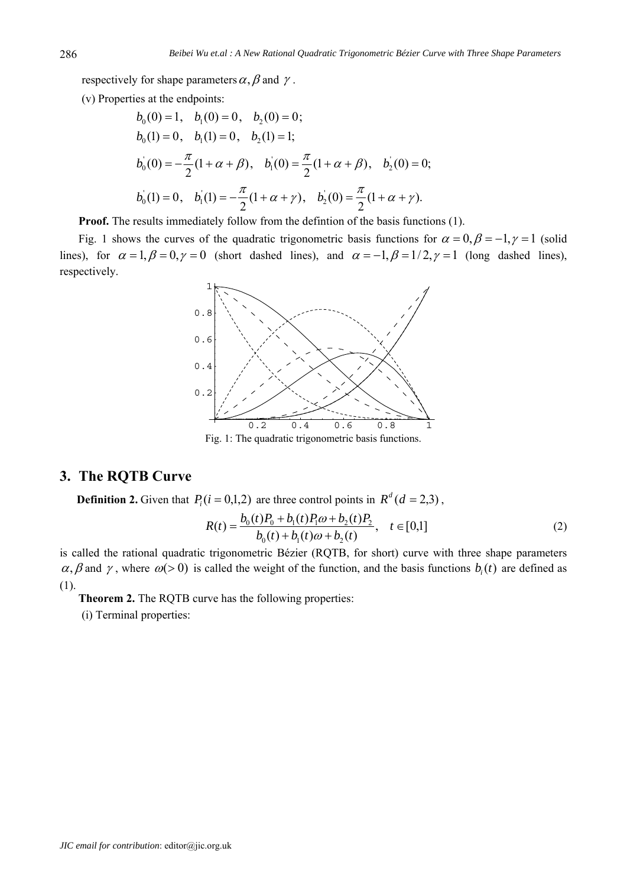respectively for shape parameters  $\alpha$ ,  $\beta$  and  $\gamma$ .

(v) Properties at the endpoints:

$$
b_0(0) = 1, b_1(0) = 0, b_2(0) = 0;
$$
  
\n
$$
b_0(1) = 0, b_1(1) = 0, b_2(1) = 1;
$$
  
\n
$$
b_0(0) = -\frac{\pi}{2}(1 + \alpha + \beta), b_1(0) = \frac{\pi}{2}(1 + \alpha + \beta), b_2(0) = 0;
$$
  
\n
$$
b_0(1) = 0, b_1(1) = -\frac{\pi}{2}(1 + \alpha + \gamma), b_2(0) = \frac{\pi}{2}(1 + \alpha + \gamma).
$$

**Proof.** The results immediately follow from the defintion of the basis functions (1).

Fig. 1 shows the curves of the quadratic trigonometric basis functions for  $\alpha = 0, \beta = -1, \gamma = 1$  (solid lines), for  $\alpha = 1, \beta = 0, \gamma = 0$  (short dashed lines), and  $\alpha = -1, \beta = 1/2, \gamma = 1$  (long dashed lines), respectively.



Fig. 1: The quadratic trigonometric basis functions.

#### **3. The RQTB Curve**

**Definition 2.** Given that  $P(x) = 0,1,2$  are three control points in  $R<sup>d</sup>(d = 2,3)$ ,

$$
R(t) = \frac{b_0(t)P_0 + b_1(t)P_1\omega + b_2(t)P_2}{b_0(t) + b_1(t)\omega + b_2(t)}, \quad t \in [0,1]
$$
\n(2)

is called the rational quadratic trigonometric Bézier (RQTB, for short) curve with three shape parameters  $\alpha$ ,  $\beta$  and  $\gamma$ , where  $\omega$ (>0) is called the weight of the function, and the basis functions  $b_i(t)$  are defined as (1).

**Theorem 2.** The RQTB curve has the following properties:

(i) Terminal properties: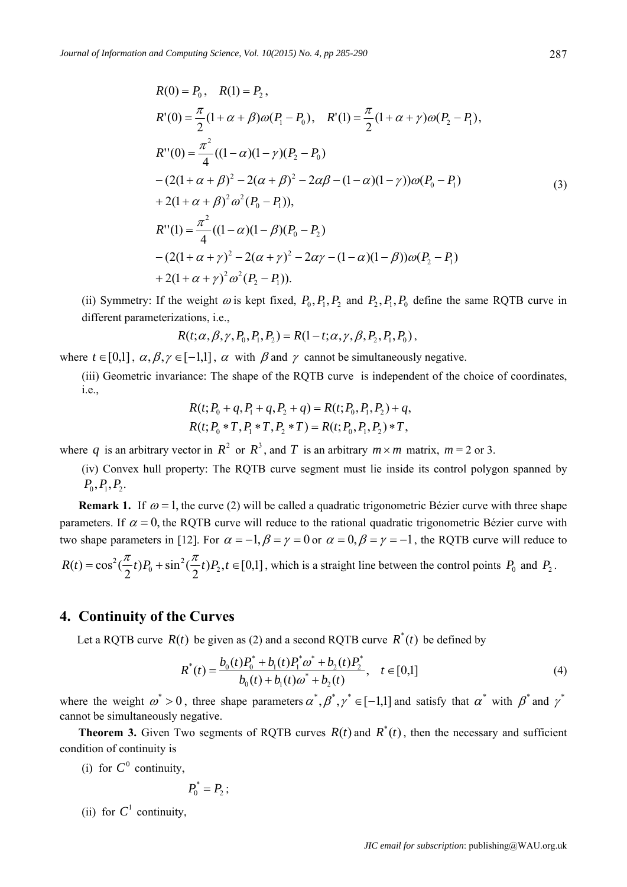$$
R(0) = P_0, \quad R(1) = P_2,
$$
  
\n
$$
R'(0) = \frac{\pi}{2} (1 + \alpha + \beta) \omega (P_1 - P_0), \quad R'(1) = \frac{\pi}{2} (1 + \alpha + \gamma) \omega (P_2 - P_1),
$$
  
\n
$$
R''(0) = \frac{\pi^2}{4} ((1 - \alpha)(1 - \gamma)(P_2 - P_0))
$$
  
\n
$$
- (2(1 + \alpha + \beta)^2 - 2(\alpha + \beta)^2 - 2\alpha\beta - (1 - \alpha)(1 - \gamma)) \omega (P_0 - P_1)
$$
  
\n
$$
+ 2(1 + \alpha + \beta)^2 \omega^2 (P_0 - P_1)),
$$
  
\n
$$
R''(1) = \frac{\pi^2}{4} ((1 - \alpha)(1 - \beta)(P_0 - P_2))
$$
  
\n
$$
- (2(1 + \alpha + \gamma)^2 - 2(\alpha + \gamma)^2 - 2\alpha\gamma - (1 - \alpha)(1 - \beta)) \omega (P_2 - P_1)
$$
  
\n
$$
+ 2(1 + \alpha + \gamma)^2 \omega^2 (P_2 - P_1)).
$$
  
\n(3)

(ii) Symmetry: If the weight  $\omega$  is kept fixed,  $P_0$ ,  $P_1$ ,  $P_2$  and  $P_2$ ,  $P_1$ ,  $P_0$  define the same RQTB curve in different parameterizations, i.e.,

$$
R(t; \alpha, \beta, \gamma, P_0, P_1, P_2) = R(1-t; \alpha, \gamma, \beta, P_2, P_1, P_0),
$$

where  $t \in [0,1]$ ,  $\alpha, \beta, \gamma \in [-1,1]$ ,  $\alpha$  with  $\beta$  and  $\gamma$  cannot be simultaneously negative.

(iii) Geometric invariance: The shape of the RQTB curve is independent of the choice of coordinates, i.e.,

$$
R(t; P_0 + q, P_1 + q, P_2 + q) = R(t; P_0, P_1, P_2) + q,
$$
  

$$
R(t; P_0 * T, P_1 * T, P_2 * T) = R(t; P_0, P_1, P_2) * T,
$$

where q is an arbitrary vector in  $R^2$  or  $R^3$ , and T is an arbitrary  $m \times m$  matrix,  $m = 2$  or 3.

(iv) Convex hull property: The RQTB curve segment must lie inside its control polygon spanned by  $P_0, P_1, P_2.$ 

**Remark 1.** If  $\omega = 1$ , the curve (2) will be called a quadratic trigonometric Bézier curve with three shape parameters. If  $\alpha = 0$ , the RQTB curve will reduce to the rational quadratic trigonometric Bézier curve with two shape parameters in [12]. For  $\alpha = -1$ ,  $\beta = \gamma = 0$  or  $\alpha = 0$ ,  $\beta = \gamma = -1$ , the RQTB curve will reduce to  $(t) = \cos^2(\frac{\pi}{2}t)P_0 + \sin^2(\frac{\pi}{2}t)P_2, t \in [0,1]$  $R(t) = \cos^2(\frac{\pi}{2}t)P_0 + \sin^2(\frac{\pi}{2}t)P_2, t \in [0,1]$ , which is a straight line between the control points  $P_0$  and  $P_2$ .

#### **4. Continuity of the Curves**

Let a RQTB curve  $R(t)$  be given as (2) and a second RQTB curve  $R^*(t)$  be defined by

$$
R^*(t) = \frac{b_0(t)P_0^* + b_1(t)P_1^*\omega^* + b_2(t)P_2^*}{b_0(t) + b_1(t)\omega^* + b_2(t)}, \quad t \in [0,1]
$$
\n
$$
(4)
$$

where the weight  $\omega^* > 0$ , three shape parameters  $\alpha^*, \beta^*, \gamma^* \in [-1,1]$  and satisfy that  $\alpha^*$  with  $\beta^*$  and  $\gamma^*$ cannot be simultaneously negative.

**Theorem 3.** Given Two segments of RQTB curves  $R(t)$  and  $R^*(t)$ , then the necessary and sufficient condition of continuity is

(i) for 
$$
C^0
$$
 continuity,

$$
P_0^*=P_2;
$$

(ii) for  $C<sup>1</sup>$  continuity,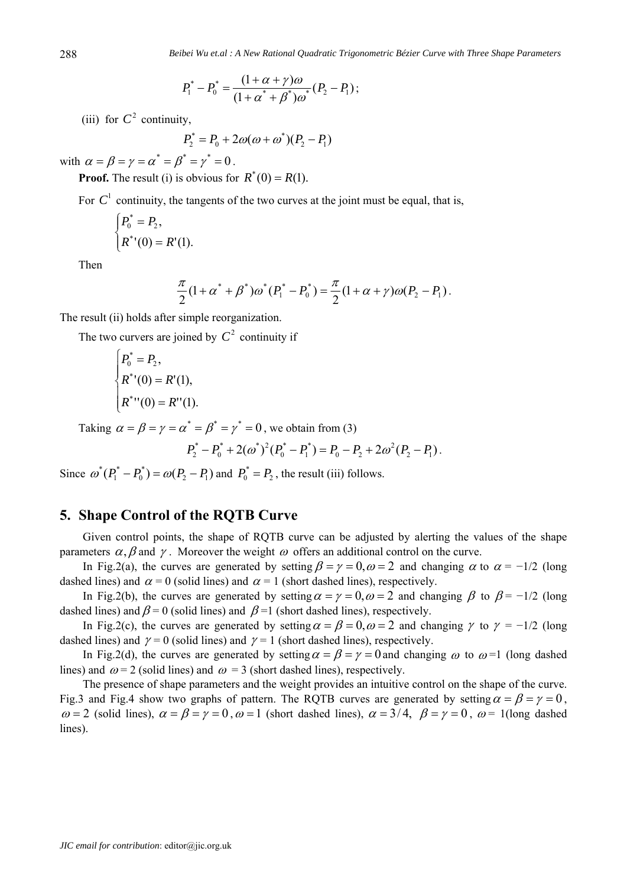*Beibei Wu et.al : A New Rational Quadratic Trigonometric Bézier Curve with Three Shape Parameters* 

$$
P_1^* - P_0^* = \frac{(1+\alpha+\gamma)\omega}{(1+\alpha^*+\beta^*)\omega^*}(P_2 - P_1);
$$

(iii) for  $C^2$  continuity,

$$
P_2^* = P_0 + 2\omega(\omega + \omega^*)(P_2 - P_1)
$$

with  $\alpha = \beta = \gamma = \alpha^* = \beta^* = \gamma^* = 0$ .

**Proof.** The result (i) is obvious for  $R^*(0) = R(1)$ .

For  $C<sup>1</sup>$  continuity, the tangents of the two curves at the joint must be equal, that is,

$$
\begin{cases}\n P_0^* = P_2, \\
 R^*(0) = R'(1).\n\end{cases}
$$

Then

$$
\frac{\pi}{2}(1+\alpha^*+\beta^*)\omega^*(P_1^*-P_0^*)=\frac{\pi}{2}(1+\alpha+\gamma)\omega(P_2-P_1).
$$

The result (ii) holds after simple reorganization.

The two curvers are joined by  $C^2$  continuity if

$$
\begin{cases}\nP_0^* = P_2, \\
R^*(0) = R'(1), \\
R^*(0) = R''(1).\n\end{cases}
$$

Taking  $\alpha = \beta = \gamma = \alpha^* = \beta^* = \gamma^* = 0$ , we obtain from (3)

$$
P_2^* - P_0^* + 2(\omega^*)^2 (P_0^* - P_1^*) = P_0 - P_2 + 2\omega^2 (P_2 - P_1).
$$

Since  $\omega^*(P_1^* - P_0^*) = \omega(P_2 - P_1)$ 0 \*  $\omega^*(P_1^* - P_0^*) = \omega(P_2 - P_1)$  and  $P_0^* = P_2$ , the result (iii) follows.

### **5. Shape Control of the RQTB Curve**

Given control points, the shape of RQTB curve can be adjusted by alerting the values of the shape parameters  $\alpha$ ,  $\beta$  and  $\gamma$ . Moreover the weight  $\omega$  offers an additional control on the curve.

In Fig.2(a), the curves are generated by setting  $\beta = \gamma = 0, \omega = 2$  and changing  $\alpha$  to  $\alpha = -1/2$  (long dashed lines) and  $\alpha = 0$  (solid lines) and  $\alpha = 1$  (short dashed lines), respectively.

In Fig.2(b), the curves are generated by setting  $\alpha = \gamma = 0$ ,  $\omega = 2$  and changing  $\beta$  to  $\beta = -1/2$  (long dashed lines) and  $\beta = 0$  (solid lines) and  $\beta = 1$  (short dashed lines), respectively.

In Fig.2(c), the curves are generated by setting  $\alpha = \beta = 0, \omega = 2$  and changing  $\gamma$  to  $\gamma = -1/2$  (long dashed lines) and  $\gamma = 0$  (solid lines) and  $\gamma = 1$  (short dashed lines), respectively.

In Fig.2(d), the curves are generated by setting  $\alpha = \beta = \gamma = 0$  and changing  $\omega$  to  $\omega =1$  (long dashed lines) and  $\omega = 2$  (solid lines) and  $\omega = 3$  (short dashed lines), respectively.

The presence of shape parameters and the weight provides an intuitive control on the shape of the curve. Fig.3 and Fig.4 show two graphs of pattern. The RQTB curves are generated by setting  $\alpha = \beta = \gamma = 0$ ,  $\omega = 2$  (solid lines),  $\alpha = \beta = \gamma = 0$ ,  $\omega = 1$  (short dashed lines),  $\alpha = 3/4$ ,  $\beta = \gamma = 0$ ,  $\omega = 1$ (long dashed lines).

288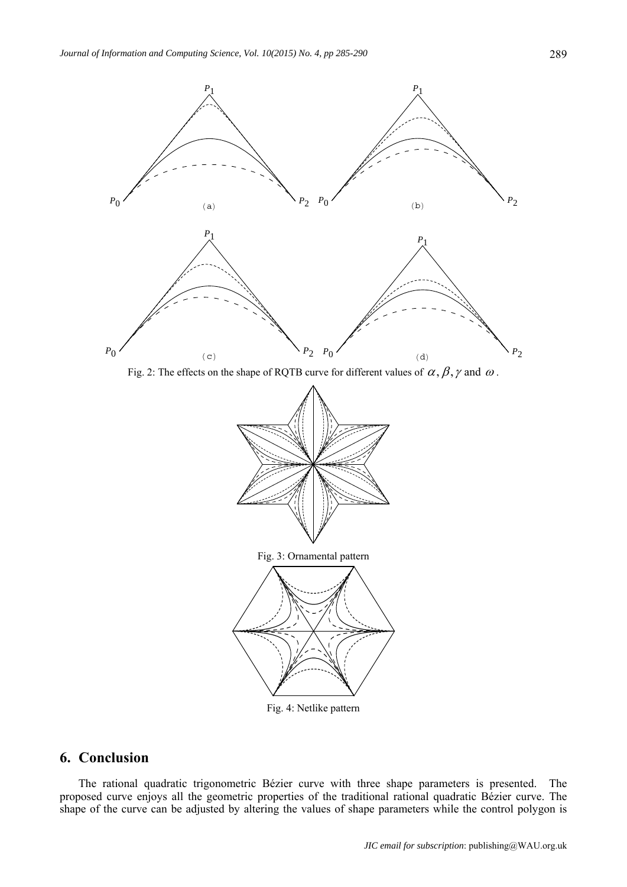

Fig. 2: The effects on the shape of RQTB curve for different values of  $\alpha$ ,  $\beta$ ,  $\gamma$  and  $\omega$ .



Fig. 4: Netlike pattern

## **6. Conclusion**

The rational quadratic trigonometric Bézier curve with three shape parameters is presented. The proposed curve enjoys all the geometric properties of the traditional rational quadratic Bézier curve. The shape of the curve can be adjusted by altering the values of shape parameters while the control polygon is